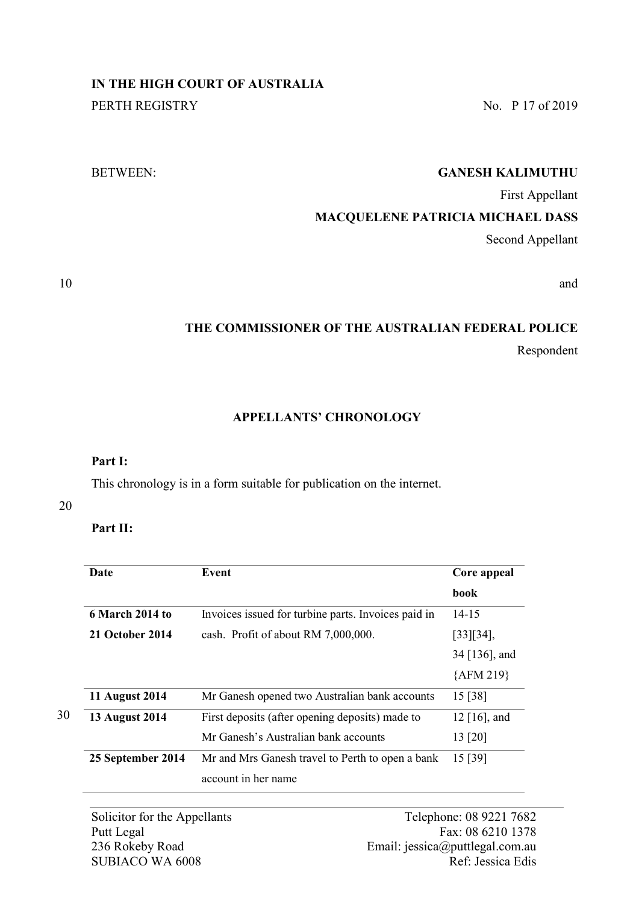# **IN THE HIGH COURT OF AUSTRALIA**

PERTH REGISTRY No. P 17 of 2019

## BETWEEN: **GANESH KALIMUTHU**

First Appellant

## **MACQUELENE PATRICIA MICHAEL DASS**

Second Appellant

10 and and  $\alpha$  and  $\alpha$  and  $\alpha$  and  $\alpha$  and  $\alpha$  and  $\alpha$  and  $\alpha$  and  $\alpha$  and  $\alpha$  and  $\alpha$  and  $\alpha$  and  $\alpha$  and  $\alpha$  and  $\alpha$  and  $\alpha$  and  $\alpha$  and  $\alpha$  and  $\alpha$  and  $\alpha$  and  $\alpha$  and  $\alpha$  and  $\alpha$  and  $\alpha$  and  $\alpha$ 

# **THE COMMISSIONER OF THE AUSTRALIAN FEDERAL POLICE** Respondent

## **APPELLANTS' CHRONOLOGY**

## **Part I:**

This chronology is in a form suitable for publication on the internet.

#### 20

30

**Part II:**

| Date                  | Event                                               | Core appeal     |
|-----------------------|-----------------------------------------------------|-----------------|
|                       |                                                     | <b>book</b>     |
| 6 March 2014 to       | Invoices issued for turbine parts. Invoices paid in | $14 - 15$       |
| 21 October 2014       | cash. Profit of about RM 7,000,000.                 | $[33][34]$ ,    |
|                       |                                                     | 34 [136], and   |
|                       |                                                     | ${AFM 219}$     |
| <b>11 August 2014</b> | Mr Ganesh opened two Australian bank accounts       | 15 [38]         |
| <b>13 August 2014</b> | First deposits (after opening deposits) made to     | 12 $[16]$ , and |
|                       | Mr Ganesh's Australian bank accounts                | 13 [20]         |
| 25 September 2014     | Mr and Mrs Ganesh travel to Perth to open a bank    | 15 [39]         |
|                       | account in her name                                 |                 |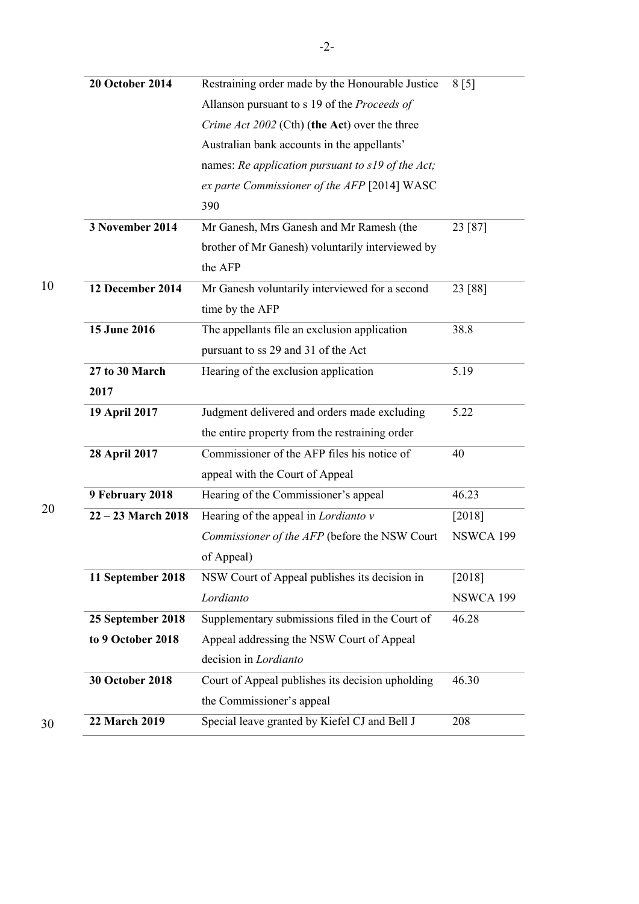| <b>20 October 2014</b> | Restraining order made by the Honourable Justice  | 8 [5]            |
|------------------------|---------------------------------------------------|------------------|
|                        | Allanson pursuant to s 19 of the Proceeds of      |                  |
|                        | Crime Act 2002 (Cth) (the Act) over the three     |                  |
|                        | Australian bank accounts in the appellants'       |                  |
|                        | names: Re application pursuant to s19 of the Act; |                  |
|                        | ex parte Commissioner of the AFP [2014] WASC      |                  |
|                        | 390                                               |                  |
| 3 November 2014        | Mr Ganesh, Mrs Ganesh and Mr Ramesh (the          | 23 [87]          |
|                        | brother of Mr Ganesh) voluntarily interviewed by  |                  |
|                        | the AFP                                           |                  |
| 12 December 2014       | Mr Ganesh voluntarily interviewed for a second    | 23 [88]          |
|                        | time by the AFP                                   |                  |
| 15 June 2016           | The appellants file an exclusion application      | 38.8             |
|                        | pursuant to ss 29 and 31 of the Act               |                  |
| 27 to 30 March         | Hearing of the exclusion application              | 5.19             |
| 2017                   |                                                   |                  |
| 19 April 2017          | Judgment delivered and orders made excluding      | 5.22             |
|                        | the entire property from the restraining order    |                  |
| 28 April 2017          | Commissioner of the AFP files his notice of       | 40               |
|                        | appeal with the Court of Appeal                   |                  |
| 9 February 2018        | Hearing of the Commissioner's appeal              | 46.23            |
| $22 - 23$ March 2018   | Hearing of the appeal in <i>Lordianto</i> v       | [2018]           |
|                        | Commissioner of the AFP (before the NSW Court     | <b>NSWCA 199</b> |
|                        | of Appeal)                                        |                  |
| 11 September 2018      | NSW Court of Appeal publishes its decision in     | [2018]           |
|                        | Lordianto                                         | <b>NSWCA 199</b> |
| 25 September 2018      | Supplementary submissions filed in the Court of   | 46.28            |
| to 9 October 2018      | Appeal addressing the NSW Court of Appeal         |                  |
|                        | decision in Lordianto                             |                  |
| <b>30 October 2018</b> | Court of Appeal publishes its decision upholding  | 46.30            |
|                        | the Commissioner's appeal                         |                  |
| 22 March 2019          | Special leave granted by Kiefel CJ and Bell J     | 208              |
|                        |                                                   |                  |